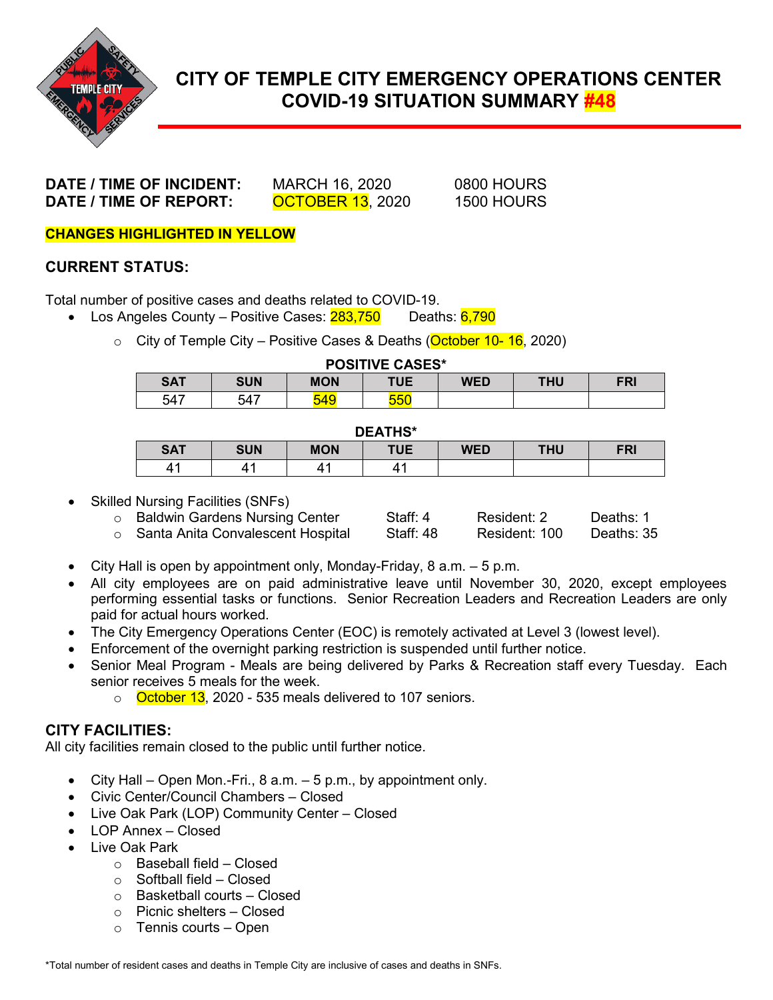

# **CITY OF TEMPLE CITY EMERGENCY OPERATIONS CENTER COVID-19 SITUATION SUMMARY #48**

**DATE / TIME OF INCIDENT:** MARCH 16, 2020 0800 HOURS **DATE / TIME OF REPORT: OCTOBER 13**, 2020 1500 HOURS

**CHANGES HIGHLIGHTED IN YELLOW**

#### **CURRENT STATUS:**

Total number of positive cases and deaths related to COVID-19.

- Los Angeles County Positive Cases:  $283,750$  Deaths:  $6,790$ 
	- City of Temple City Positive Cases & Deaths (October 10-16, 2020)

| <b>POSITIVE CASES*</b> |            |     |     |            |            |     |
|------------------------|------------|-----|-----|------------|------------|-----|
| <b>SAT</b>             | <b>SUN</b> | MON | TUE | <b>WED</b> | <b>THU</b> | FRI |
| 547                    | 547        | 549 | 550 |            |            |     |

#### **DEATHS\***

| -----      |            |            |            |            |     |     |  |
|------------|------------|------------|------------|------------|-----|-----|--|
| <b>SAT</b> | <b>SUN</b> | <b>MON</b> | <b>TUE</b> | <b>WED</b> | ΤΗU | FRI |  |
| 4          |            |            |            |            |     |     |  |

Skilled Nursing Facilities (SNFs)

| ○ Baldwin Gardens Nursing Center    | Staff: 4  | Resident: 2   | Deaths: 1  |
|-------------------------------------|-----------|---------------|------------|
| ○ Santa Anita Convalescent Hospital | Staff: 48 | Resident: 100 | Deaths: 35 |

- City Hall is open by appointment only, Monday-Friday, 8 a.m. 5 p.m.
- All city employees are on paid administrative leave until November 30, 2020, except employees performing essential tasks or functions. Senior Recreation Leaders and Recreation Leaders are only paid for actual hours worked.
- The City Emergency Operations Center (EOC) is remotely activated at Level 3 (lowest level).
- Enforcement of the overnight parking restriction is suspended until further notice.
- Senior Meal Program Meals are being delivered by Parks & Recreation staff every Tuesday. Each senior receives 5 meals for the week.
	- o **October 13**, 2020 535 meals delivered to 107 seniors.

#### **CITY FACILITIES:**

All city facilities remain closed to the public until further notice.

- City Hall Open Mon.-Fri.,  $8$  a.m.  $-5$  p.m., by appointment only.
- Civic Center/Council Chambers Closed
- Live Oak Park (LOP) Community Center Closed
- LOP Annex Closed
- Live Oak Park
	- o Baseball field Closed
	- o Softball field Closed
	- o Basketball courts Closed
	- o Picnic shelters Closed
	- $\circ$  Tennis courts Open

\*Total number of resident cases and deaths in Temple City are inclusive of cases and deaths in SNFs.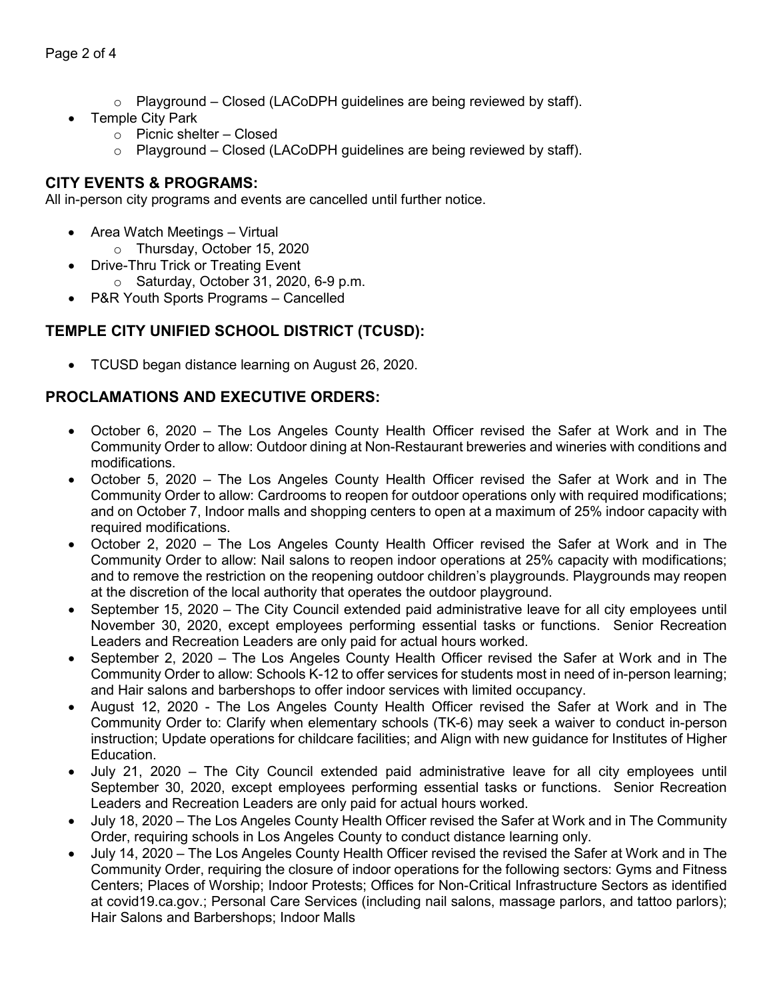- $\circ$  Playground Closed (LACoDPH guidelines are being reviewed by staff).
- **Temple City Park** 
	- o Picnic shelter Closed
	- $\circ$  Playground Closed (LACoDPH guidelines are being reviewed by staff).

#### **CITY EVENTS & PROGRAMS:**

All in-person city programs and events are cancelled until further notice.

- Area Watch Meetings Virtual
	- o Thursday, October 15, 2020
- Drive-Thru Trick or Treating Event
	- o Saturday, October 31, 2020, 6-9 p.m.
- P&R Youth Sports Programs Cancelled

## **TEMPLE CITY UNIFIED SCHOOL DISTRICT (TCUSD):**

• TCUSD began distance learning on August 26, 2020.

### **PROCLAMATIONS AND EXECUTIVE ORDERS:**

- October 6, 2020 The Los Angeles County Health Officer revised the Safer at Work and in The Community Order to allow: Outdoor dining at Non-Restaurant breweries and wineries with conditions and modifications.
- October 5, 2020 The Los Angeles County Health Officer revised the Safer at Work and in The Community Order to allow: Cardrooms to reopen for outdoor operations only with required modifications; and on October 7, Indoor malls and shopping centers to open at a maximum of 25% indoor capacity with required modifications.
- October 2, 2020 The Los Angeles County Health Officer revised the Safer at Work and in The Community Order to allow: Nail salons to reopen indoor operations at 25% capacity with modifications; and to remove the restriction on the reopening outdoor children's playgrounds. Playgrounds may reopen at the discretion of the local authority that operates the outdoor playground.
- September 15, 2020 The City Council extended paid administrative leave for all city employees until November 30, 2020, except employees performing essential tasks or functions. Senior Recreation Leaders and Recreation Leaders are only paid for actual hours worked.
- September 2, 2020 The Los Angeles County Health Officer revised the Safer at Work and in The Community Order to allow: Schools K-12 to offer services for students most in need of in-person learning; and Hair salons and barbershops to offer indoor services with limited occupancy.
- August 12, 2020 The Los Angeles County Health Officer revised the Safer at Work and in The Community Order to: Clarify when elementary schools (TK-6) may seek a waiver to conduct in-person instruction; Update operations for childcare facilities; and Align with new guidance for Institutes of Higher Education.
- July 21, 2020 The City Council extended paid administrative leave for all city employees until September 30, 2020, except employees performing essential tasks or functions. Senior Recreation Leaders and Recreation Leaders are only paid for actual hours worked.
- July 18, 2020 The Los Angeles County Health Officer revised the Safer at Work and in The Community Order, requiring schools in Los Angeles County to conduct distance learning only.
- July 14, 2020 The Los Angeles County Health Officer revised the revised the Safer at Work and in The Community Order, requiring the closure of indoor operations for the following sectors: Gyms and Fitness Centers; Places of Worship; Indoor Protests; Offices for Non-Critical Infrastructure Sectors as identified at covid19.ca.gov.; Personal Care Services (including nail salons, massage parlors, and tattoo parlors); Hair Salons and Barbershops; Indoor Malls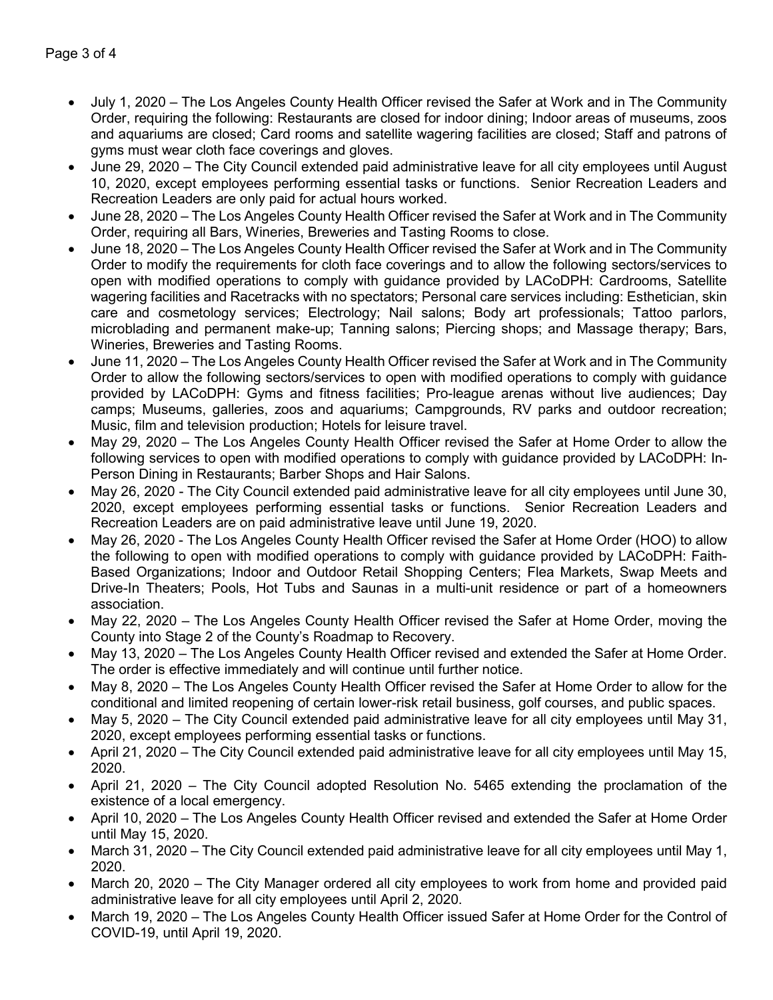- July 1, 2020 The Los Angeles County Health Officer revised the Safer at Work and in The Community Order, requiring the following: Restaurants are closed for indoor dining; Indoor areas of museums, zoos and aquariums are closed; Card rooms and satellite wagering facilities are closed; Staff and patrons of gyms must wear cloth face coverings and gloves.
- June 29, 2020 The City Council extended paid administrative leave for all city employees until August 10, 2020, except employees performing essential tasks or functions. Senior Recreation Leaders and Recreation Leaders are only paid for actual hours worked.
- June 28, 2020 The Los Angeles County Health Officer revised the Safer at Work and in The Community Order, requiring all Bars, Wineries, Breweries and Tasting Rooms to close.
- June 18, 2020 The Los Angeles County Health Officer revised the Safer at Work and in The Community Order to modify the requirements for cloth face coverings and to allow the following sectors/services to open with modified operations to comply with guidance provided by LACoDPH: Cardrooms, Satellite wagering facilities and Racetracks with no spectators; Personal care services including: Esthetician, skin care and cosmetology services; Electrology; Nail salons; Body art professionals; Tattoo parlors, microblading and permanent make-up; Tanning salons; Piercing shops; and Massage therapy; Bars, Wineries, Breweries and Tasting Rooms.
- June 11, 2020 The Los Angeles County Health Officer revised the Safer at Work and in The Community Order to allow the following sectors/services to open with modified operations to comply with guidance provided by LACoDPH: Gyms and fitness facilities; Pro-league arenas without live audiences; Day camps; Museums, galleries, zoos and aquariums; Campgrounds, RV parks and outdoor recreation; Music, film and television production; Hotels for leisure travel.
- May 29, 2020 The Los Angeles County Health Officer revised the Safer at Home Order to allow the following services to open with modified operations to comply with guidance provided by LACoDPH: In-Person Dining in Restaurants; Barber Shops and Hair Salons.
- May 26, 2020 The City Council extended paid administrative leave for all city employees until June 30, 2020, except employees performing essential tasks or functions. Senior Recreation Leaders and Recreation Leaders are on paid administrative leave until June 19, 2020.
- May 26, 2020 The Los Angeles County Health Officer revised the Safer at Home Order (HOO) to allow the following to open with modified operations to comply with guidance provided by LACoDPH: Faith-Based Organizations; Indoor and Outdoor Retail Shopping Centers; Flea Markets, Swap Meets and Drive-In Theaters; Pools, Hot Tubs and Saunas in a multi-unit residence or part of a homeowners association.
- May 22, 2020 The Los Angeles County Health Officer revised the Safer at Home Order, moving the County into Stage 2 of the County's Roadmap to Recovery.
- May 13, 2020 The Los Angeles County Health Officer revised and extended the Safer at Home Order. The order is effective immediately and will continue until further notice.
- May 8, 2020 The Los Angeles County Health Officer revised the Safer at Home Order to allow for the conditional and limited reopening of certain lower-risk retail business, golf courses, and public spaces.
- May 5, 2020 The City Council extended paid administrative leave for all city employees until May 31, 2020, except employees performing essential tasks or functions.
- April 21, 2020 The City Council extended paid administrative leave for all city employees until May 15, 2020.
- April 21, 2020 The City Council adopted Resolution No. 5465 extending the proclamation of the existence of a local emergency.
- April 10, 2020 The Los Angeles County Health Officer revised and extended the Safer at Home Order until May 15, 2020.
- March 31, 2020 The City Council extended paid administrative leave for all city employees until May 1, 2020.
- March 20, 2020 The City Manager ordered all city employees to work from home and provided paid administrative leave for all city employees until April 2, 2020.
- March 19, 2020 The Los Angeles County Health Officer issued Safer at Home Order for the Control of COVID-19, until April 19, 2020.